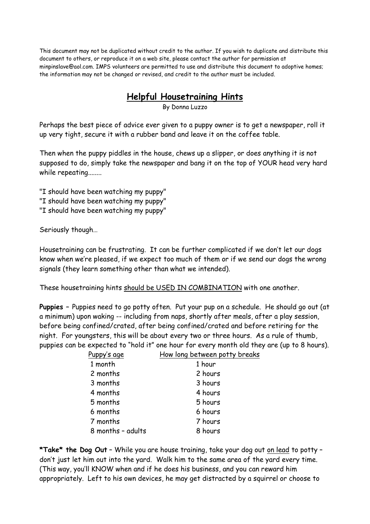This document may not be duplicated without credit to the author. If you wish to duplicate and distribute this document to others, or reproduce it on a web site, please contact the author for permission at minpinslave@aol.com. IMPS volunteers are permitted to use and distribute this document to adoptive homes; the information may not be changed or revised, and credit to the author must be included.

## **Helpful Housetraining Hints**<br>By Donna Luzzo

Perhaps the best piece of advice ever given to a puppy owner is to get a newspaper, roll it up very tight, secure it with a rubber band and leave it on the coffee table.

Then when the puppy piddles in the house, chews up a slipper, or does anything it is not supposed to do, simply take the newspaper and bang it on the top of YOUR head very hard while repeating........

"I should have been watching my puppy"

- "I should have been watching my puppy"
- "I should have been watching my puppy"

Seriously though...

Housetraining can be frustrating. It can be further complicated if we don't let our dogs know when we're pleased, if we expect too much of them or if we send our dogs the wrong signals (they learn something other than what we intended).

These housetraining hints should be USED IN COMBINATION with one another.

Puppies - Puppies need to go potty often. Put your pup on a schedule. He should go out (at a minimum) upon waking -- including from naps, shortly after meals, after a play session, before being confined/crated, after being confined/crated and before retiring for the night. For youngsters, this will be about every two or three hours. As a rule of thumb, puppies can be expected to "hold it" one hour for every month old they are (up to 8 hours).

| How long between potty breaks |
|-------------------------------|
| 1 hour                        |
| 2 hours                       |
| 3 hours                       |
| 4 hours                       |
| 5 hours                       |
| 6 hours                       |
| 7 hours                       |
| 8 hours                       |
|                               |

\*Take\* the Dog Out - While you are house training, take your dog out on lead to potty don't just let him out into the yard. Walk him to the same area of the yard every time. (This way, you'll KNOW when and if he does his business, and you can reward him appropriately. Left to his own devices, he may get distracted by a squirrel or choose to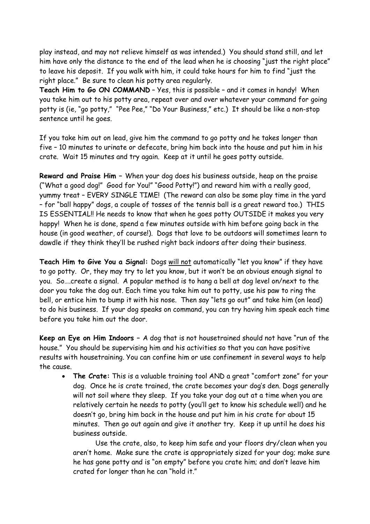play instead, and may not relieve himself as was intended.) You should stand still, and let him have only the distance to the end of the lead when he is choosing "just the right place" to leave his deposit. If you walk with him, it could take hours for him to find "just the right place." Be sure to clean his potty area regularly.

Teach Him to Go ON COMMAND - Yes, this is possible - and it comes in handy! When you take him out to his potty area, repeat over and over whatever your command for going potty is (ie, "go potty," "Pee Pee," "Do Your Business," etc.) It should be like a non-stop sentence until he goes.

If you take him out on lead, give him the command to go potty and he takes longer than five - 10 minutes to urinate or defecate, bring him back into the house and put him in his crate. Wait 15 minutes and try again. Keep at it until he goes potty outside.

Reward and Praise Him - When your dog does his business outside, heap on the praise ("What a good dog!" Good for You!" "Good Potty!") and reward him with a really good, yummy treat - EVERY SINGLE TIME! (The reward can also be some play time in the yard - for "ball happy" dogs, a couple of tosses of the tennis ball is a great reward too.) THIS IS ESSENTIAL!! He needs to know that when he goes potty OUTSIDE it makes you very happy! When he is done, spend a few minutes outside with him before going back in the house (in good weather, of course!). Dogs that love to be outdoors will sometimes learn to dawdle if they think they'll be rushed right back indoors after doing their business.

Teach Him to Give You a Signal: Dogs will not automatically "let you know" if they have to go potty. Or, they may try to let you know, but it won't be an obvious enough signal to you. So ... create a signal. A popular method is to hang a bell at dog level on/next to the door you take the dog out. Each time you take him out to potty, use his paw to ring the bell, or entice him to bump it with his nose. Then say "lets go out" and take him (on lead) to do his business. If your dog speaks on command, you can try having him speak each time before you take him out the door.

Keep an Eye on Him Indoors - A dog that is not housetrained should not have "run of the house." You should be supervising him and his activities so that you can have positive results with housetraining. You can confine him or use confinement in several ways to help the cause.

The Crate: This is a valuable training tool AND a great "comfort zone" for your dog. Once he is crate trained, the crate becomes your dog's den. Dogs generally will not soil where they sleep. If you take your dog out at a time when you are relatively certain he needs to potty (you'll get to know his schedule well) and he doesn't go, bring him back in the house and put him in his crate for about 15 minutes. Then go out again and give it another try. Keep it up until he does his business outside

Use the crate, also, to keep him safe and your floors dry/clean when you aren't home. Make sure the crate is appropriately sized for your dog; make sure he has gone potty and is "on empty" before you crate him; and don't leave him crated for longer than he can "hold it."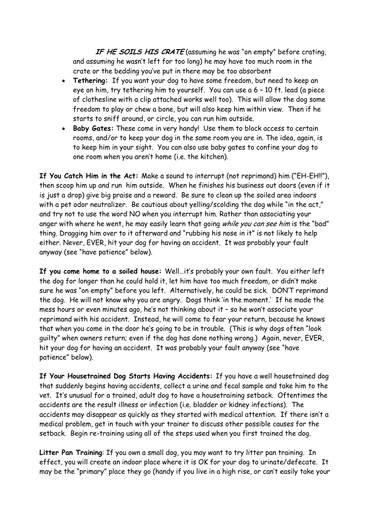IF HE SOILS HIS CRATE (assuming he was "on empty" before crating, and assuming he wasn't left for too long) he may have too much room in the crate or the bedding you've put in there may be too absorbent

- Tethering: If you want your dog to have some freedom, but need to keep an eye on him, try tethering him to yourself. You can use a 6 - 10 ft. lead (a piece of clothesline with a clip attached works well too). This will allow the dog some freedom to play or chew a bone, but will also keep him within view. Then if he starts to sniff around, or circle, you can run him outside.
- Baby Gates: These come in very handy! Use them to block access to certain rooms, and/or to keep your dog in the same room you are in. The idea, again, is to keep him in your sight. You can also use baby gates to confine your dog to one room when you aren't home (i.e. the kitchen).

If You Catch Him in the Act: Make a sound to interrupt (not reprimand) him ("EH-EH!!"), then scoop him up and run him outside. When he finishes his business out doors (even if it is just a drop) give big praise and a reward. Be sure to clean up the soiled area indoors with a pet odor neutralizer. Be cautious about yelling/scolding the dog while "in the act," and try not to use the word NO when you interrupt him. Rather than associating your anger with where he went, he may easily learn that going while you can see him is the "bad" thing. Dragging him over to it afterward and "rubbing his nose in it" is not likely to help either. Never, EVER, hit your dog for having an accident. It was probably your fault anyway (see "have patience" below).

If you come home to a soiled house: Well...it's probably your own fault. You either left the dog for longer than he could hold it, let him have too much freedom, or didn't make sure he was "on empty" before you left. Alternatively, he could be sick. DON'T reprimand the dog. He will not know why you are angry. Dogs think 'in the moment.' If he made the mess hours or even minutes ago, he's not thinking about it - so he won't associate your reprimand with his accident. Instead, he will come to fear your return, because he knows that when you come in the door he's going to be in trouble. (This is why dogs often "look quilty" when owners return; even if the dog has done nothing wrong.) Again, never, EVER, hit your dog for having an accident. It was probably your fault anyway (see "have patience" below).

If Your Housetrained Dog Starts Having Accidents: If you have a well housetrained dog that suddenly begins having accidents, collect a urine and fecal sample and take him to the vet. It's unusual for a trained, adult dog to have a housetraining setback. Oftentimes the accidents are the result illness or infection (i.e. bladder or kidney infections). The accidents may disappear as guickly as they started with medical attention. If there isn't a medical problem, get in touch with your trainer to discuss other possible causes for the setback. Begin re-training using all of the steps used when you first trained the dog.

Litter Pan Training: If you own a small dog, you may want to try litter pan training. In effect, you will create an indoor place where it is OK for your dog to urinate/defecate. It may be the "primary" place they go (handy if you live in a high rise, or can't easily take your